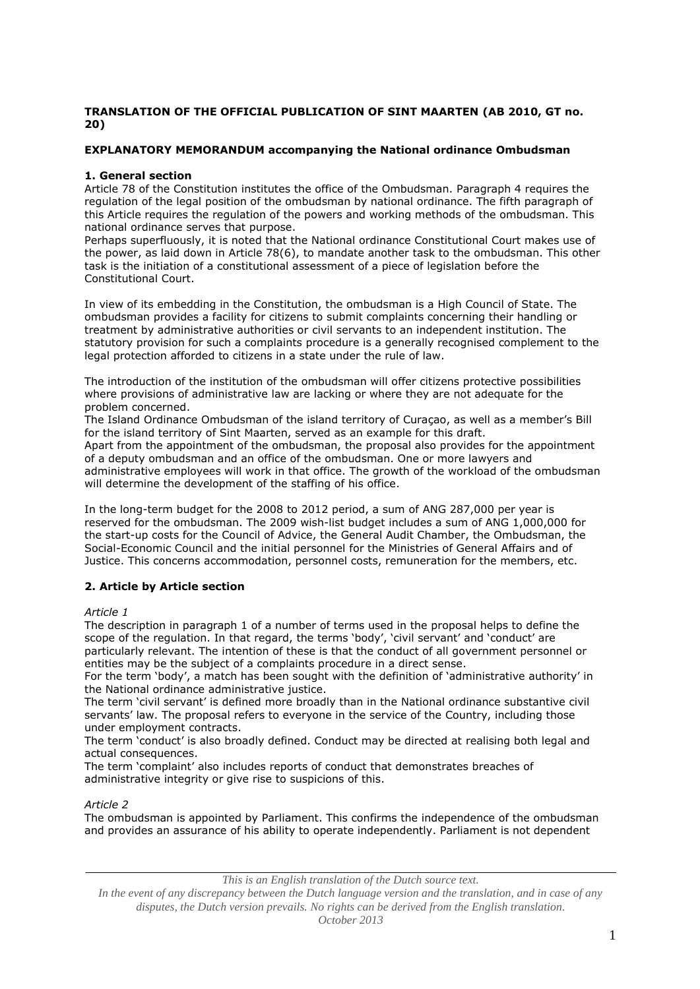## **TRANSLATION OF THE OFFICIAL PUBLICATION OF SINT MAARTEN (AB 2010, GT no. 20)**

## **EXPLANATORY MEMORANDUM accompanying the National ordinance Ombudsman**

## **1. General section**

Article 78 of the Constitution institutes the office of the Ombudsman. Paragraph 4 requires the regulation of the legal position of the ombudsman by national ordinance. The fifth paragraph of this Article requires the regulation of the powers and working methods of the ombudsman. This national ordinance serves that purpose.

Perhaps superfluously, it is noted that the National ordinance Constitutional Court makes use of the power, as laid down in Article 78(6), to mandate another task to the ombudsman. This other task is the initiation of a constitutional assessment of a piece of legislation before the Constitutional Court.

In view of its embedding in the Constitution, the ombudsman is a High Council of State. The ombudsman provides a facility for citizens to submit complaints concerning their handling or treatment by administrative authorities or civil servants to an independent institution. The statutory provision for such a complaints procedure is a generally recognised complement to the legal protection afforded to citizens in a state under the rule of law.

The introduction of the institution of the ombudsman will offer citizens protective possibilities where provisions of administrative law are lacking or where they are not adequate for the problem concerned.

The Island Ordinance Ombudsman of the island territory of Curaçao, as well as a member's Bill for the island territory of Sint Maarten, served as an example for this draft.

Apart from the appointment of the ombudsman, the proposal also provides for the appointment of a deputy ombudsman and an office of the ombudsman. One or more lawyers and administrative employees will work in that office. The growth of the workload of the ombudsman will determine the development of the staffing of his office.

In the long-term budget for the 2008 to 2012 period, a sum of ANG 287,000 per year is reserved for the ombudsman. The 2009 wish-list budget includes a sum of ANG 1,000,000 for the start-up costs for the Council of Advice, the General Audit Chamber, the Ombudsman, the Social-Economic Council and the initial personnel for the Ministries of General Affairs and of Justice. This concerns accommodation, personnel costs, remuneration for the members, etc.

# **2. Article by Article section**

## *Article 1*

The description in paragraph 1 of a number of terms used in the proposal helps to define the scope of the regulation. In that regard, the terms 'body', 'civil servant' and 'conduct' are particularly relevant. The intention of these is that the conduct of all government personnel or entities may be the subject of a complaints procedure in a direct sense.

For the term 'body', a match has been sought with the definition of 'administrative authority' in the National ordinance administrative justice.

The term 'civil servant' is defined more broadly than in the National ordinance substantive civil servants' law. The proposal refers to everyone in the service of the Country, including those under employment contracts.

The term 'conduct' is also broadly defined. Conduct may be directed at realising both legal and actual consequences.

The term 'complaint' also includes reports of conduct that demonstrates breaches of administrative integrity or give rise to suspicions of this.

# *Article 2*

The ombudsman is appointed by Parliament. This confirms the independence of the ombudsman and provides an assurance of his ability to operate independently. Parliament is not dependent

*This is an English translation of the Dutch source text.*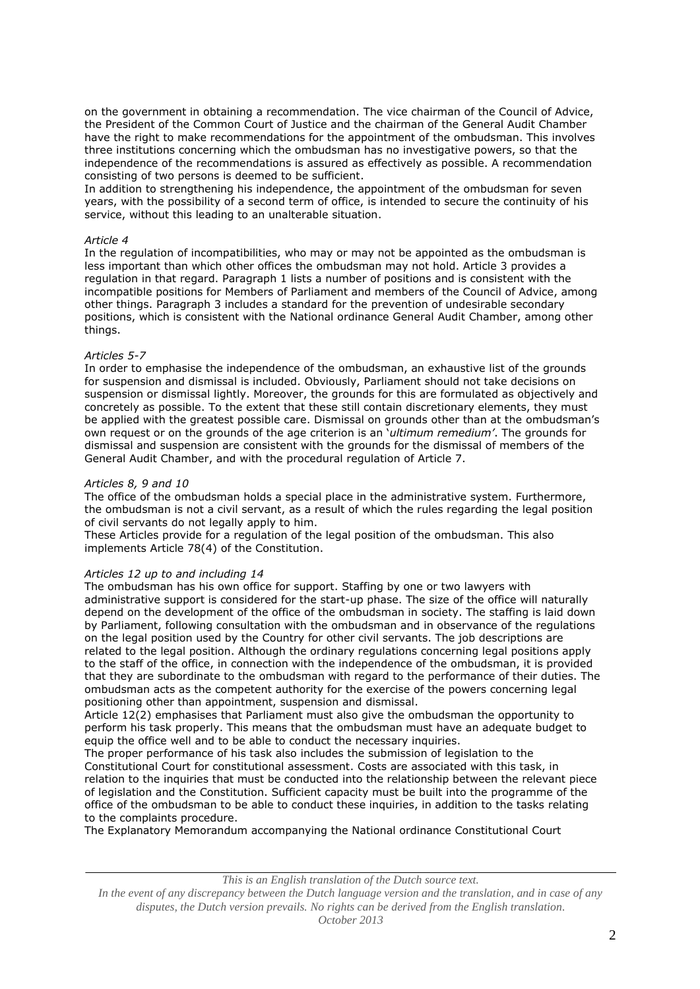on the government in obtaining a recommendation. The vice chairman of the Council of Advice, the President of the Common Court of Justice and the chairman of the General Audit Chamber have the right to make recommendations for the appointment of the ombudsman. This involves three institutions concerning which the ombudsman has no investigative powers, so that the independence of the recommendations is assured as effectively as possible. A recommendation consisting of two persons is deemed to be sufficient.

In addition to strengthening his independence, the appointment of the ombudsman for seven years, with the possibility of a second term of office, is intended to secure the continuity of his service, without this leading to an unalterable situation.

### *Article 4*

In the regulation of incompatibilities, who may or may not be appointed as the ombudsman is less important than which other offices the ombudsman may not hold. Article 3 provides a regulation in that regard. Paragraph 1 lists a number of positions and is consistent with the incompatible positions for Members of Parliament and members of the Council of Advice, among other things. Paragraph 3 includes a standard for the prevention of undesirable secondary positions, which is consistent with the National ordinance General Audit Chamber, among other things.

### *Articles 5-7*

In order to emphasise the independence of the ombudsman, an exhaustive list of the grounds for suspension and dismissal is included. Obviously, Parliament should not take decisions on suspension or dismissal lightly. Moreover, the grounds for this are formulated as objectively and concretely as possible. To the extent that these still contain discretionary elements, they must be applied with the greatest possible care. Dismissal on grounds other than at the ombudsman's own request or on the grounds of the age criterion is an '*ultimum remedium'*. The grounds for dismissal and suspension are consistent with the grounds for the dismissal of members of the General Audit Chamber, and with the procedural regulation of Article 7.

### *Articles 8, 9 and 10*

The office of the ombudsman holds a special place in the administrative system. Furthermore, the ombudsman is not a civil servant, as a result of which the rules regarding the legal position of civil servants do not legally apply to him.

These Articles provide for a regulation of the legal position of the ombudsman. This also implements Article 78(4) of the Constitution.

### *Articles 12 up to and including 14*

The ombudsman has his own office for support. Staffing by one or two lawyers with administrative support is considered for the start-up phase. The size of the office will naturally depend on the development of the office of the ombudsman in society. The staffing is laid down by Parliament, following consultation with the ombudsman and in observance of the regulations on the legal position used by the Country for other civil servants. The job descriptions are related to the legal position. Although the ordinary regulations concerning legal positions apply to the staff of the office, in connection with the independence of the ombudsman, it is provided that they are subordinate to the ombudsman with regard to the performance of their duties. The ombudsman acts as the competent authority for the exercise of the powers concerning legal positioning other than appointment, suspension and dismissal.

Article 12(2) emphasises that Parliament must also give the ombudsman the opportunity to perform his task properly. This means that the ombudsman must have an adequate budget to equip the office well and to be able to conduct the necessary inquiries.

The proper performance of his task also includes the submission of legislation to the Constitutional Court for constitutional assessment. Costs are associated with this task, in relation to the inquiries that must be conducted into the relationship between the relevant piece of legislation and the Constitution. Sufficient capacity must be built into the programme of the office of the ombudsman to be able to conduct these inquiries, in addition to the tasks relating to the complaints procedure.

The Explanatory Memorandum accompanying the National ordinance Constitutional Court

*This is an English translation of the Dutch source text.*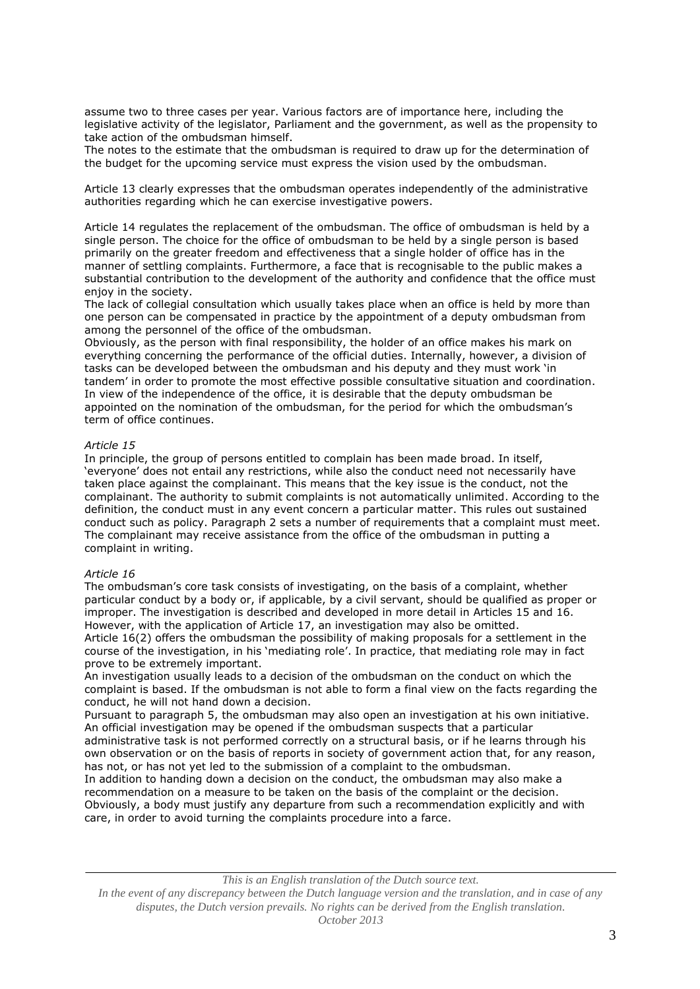assume two to three cases per year. Various factors are of importance here, including the legislative activity of the legislator, Parliament and the government, as well as the propensity to take action of the ombudsman himself.

The notes to the estimate that the ombudsman is required to draw up for the determination of the budget for the upcoming service must express the vision used by the ombudsman.

Article 13 clearly expresses that the ombudsman operates independently of the administrative authorities regarding which he can exercise investigative powers.

Article 14 regulates the replacement of the ombudsman. The office of ombudsman is held by a single person. The choice for the office of ombudsman to be held by a single person is based primarily on the greater freedom and effectiveness that a single holder of office has in the manner of settling complaints. Furthermore, a face that is recognisable to the public makes a substantial contribution to the development of the authority and confidence that the office must enjoy in the society.

The lack of collegial consultation which usually takes place when an office is held by more than one person can be compensated in practice by the appointment of a deputy ombudsman from among the personnel of the office of the ombudsman.

Obviously, as the person with final responsibility, the holder of an office makes his mark on everything concerning the performance of the official duties. Internally, however, a division of tasks can be developed between the ombudsman and his deputy and they must work 'in tandem' in order to promote the most effective possible consultative situation and coordination. In view of the independence of the office, it is desirable that the deputy ombudsman be appointed on the nomination of the ombudsman, for the period for which the ombudsman's term of office continues.

### *Article 15*

In principle, the group of persons entitled to complain has been made broad. In itself, 'everyone' does not entail any restrictions, while also the conduct need not necessarily have taken place against the complainant. This means that the key issue is the conduct, not the complainant. The authority to submit complaints is not automatically unlimited. According to the definition, the conduct must in any event concern a particular matter. This rules out sustained conduct such as policy. Paragraph 2 sets a number of requirements that a complaint must meet. The complainant may receive assistance from the office of the ombudsman in putting a complaint in writing.

#### *Article 16*

The ombudsman's core task consists of investigating, on the basis of a complaint, whether particular conduct by a body or, if applicable, by a civil servant, should be qualified as proper or improper. The investigation is described and developed in more detail in Articles 15 and 16. However, with the application of Article 17, an investigation may also be omitted. Article 16(2) offers the ombudsman the possibility of making proposals for a settlement in the course of the investigation, in his 'mediating role'. In practice, that mediating role may in fact prove to be extremely important.

An investigation usually leads to a decision of the ombudsman on the conduct on which the complaint is based. If the ombudsman is not able to form a final view on the facts regarding the conduct, he will not hand down a decision.

Pursuant to paragraph 5, the ombudsman may also open an investigation at his own initiative. An official investigation may be opened if the ombudsman suspects that a particular administrative task is not performed correctly on a structural basis, or if he learns through his own observation or on the basis of reports in society of government action that, for any reason, has not, or has not yet led to the submission of a complaint to the ombudsman. In addition to handing down a decision on the conduct, the ombudsman may also make a

recommendation on a measure to be taken on the basis of the complaint or the decision. Obviously, a body must justify any departure from such a recommendation explicitly and with care, in order to avoid turning the complaints procedure into a farce.

*This is an English translation of the Dutch source text.*